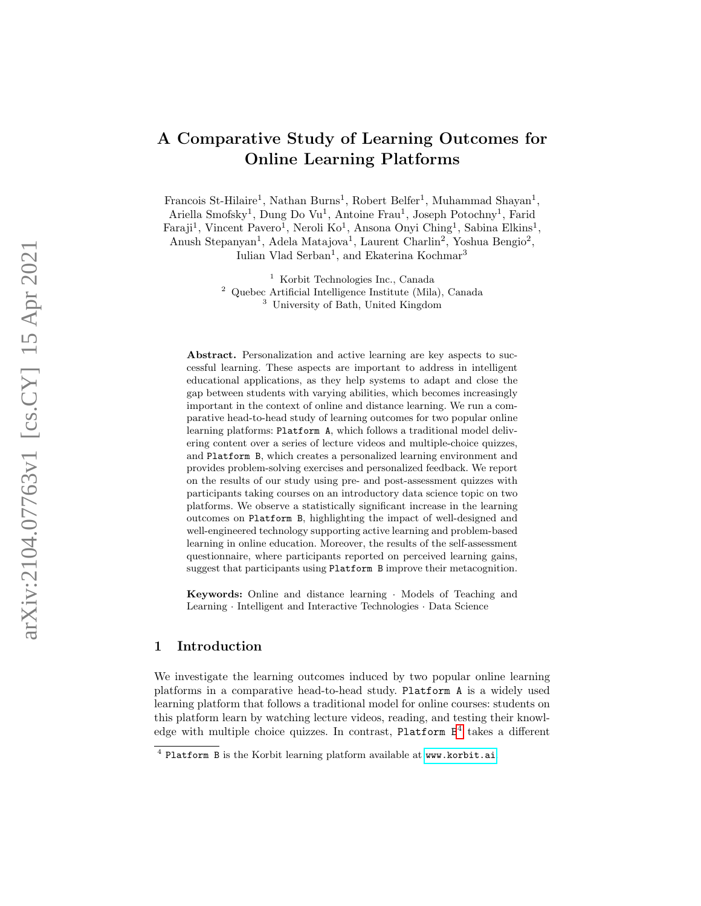# A Comparative Study of Learning Outcomes for Online Learning Platforms

Francois St-Hilaire<sup>1</sup>, Nathan Burns<sup>1</sup>, Robert Belfer<sup>1</sup>, Muhammad Shayan<sup>1</sup>,

Ariella Smofsky<sup>1</sup>, Dung Do Vu<sup>1</sup>, Antoine Frau<sup>1</sup>, Joseph Potochny<sup>1</sup>, Farid

Faraji<sup>1</sup>, Vincent Pavero<sup>1</sup>, Neroli Ko<sup>1</sup>, Ansona Onyi Ching<sup>1</sup>, Sabina Elkins<sup>1</sup>, Anush Stepanyan<sup>1</sup>, Adela Matajova<sup>1</sup>, Laurent Charlin<sup>2</sup>, Yoshua Bengio<sup>2</sup>,

Iulian Vlad Serban 1 , and Ekaterina Kochmar 3

<sup>1</sup> Korbit Technologies Inc., Canada

<sup>2</sup> Quebec Artificial Intelligence Institute (Mila), Canada

<sup>3</sup> University of Bath, United Kingdom

Abstract. Personalization and active learning are key aspects to successful learning. These aspects are important to address in intelligent educational applications, as they help systems to adapt and close the gap between students with varying abilities, which becomes increasingly important in the context of online and distance learning. We run a comparative head-to-head study of learning outcomes for two popular online learning platforms: Platform A, which follows a traditional model delivering content over a series of lecture videos and multiple-choice quizzes, and Platform B, which creates a personalized learning environment and provides problem-solving exercises and personalized feedback. We report on the results of our study using pre- and post-assessment quizzes with participants taking courses on an introductory data science topic on two platforms. We observe a statistically significant increase in the learning outcomes on Platform B, highlighting the impact of well-designed and well-engineered technology supporting active learning and problem-based learning in online education. Moreover, the results of the self-assessment questionnaire, where participants reported on perceived learning gains, suggest that participants using Platform B improve their metacognition.

Keywords: Online and distance learning · Models of Teaching and Learning · Intelligent and Interactive Technologies · Data Science

### 1 Introduction

We investigate the learning outcomes induced by two popular online learning platforms in a comparative head-to-head study. Platform A is a widely used learning platform that follows a traditional model for online courses: students on this platform learn by watching lecture videos, reading, and testing their knowledge with multiple choice quizzes. In contrast, Platform  $B<sup>4</sup>$  $B<sup>4</sup>$  $B<sup>4</sup>$  takes a different

<span id="page-0-0"></span><sup>4</sup> Platform B is the Korbit learning platform available at <www.korbit.ai> .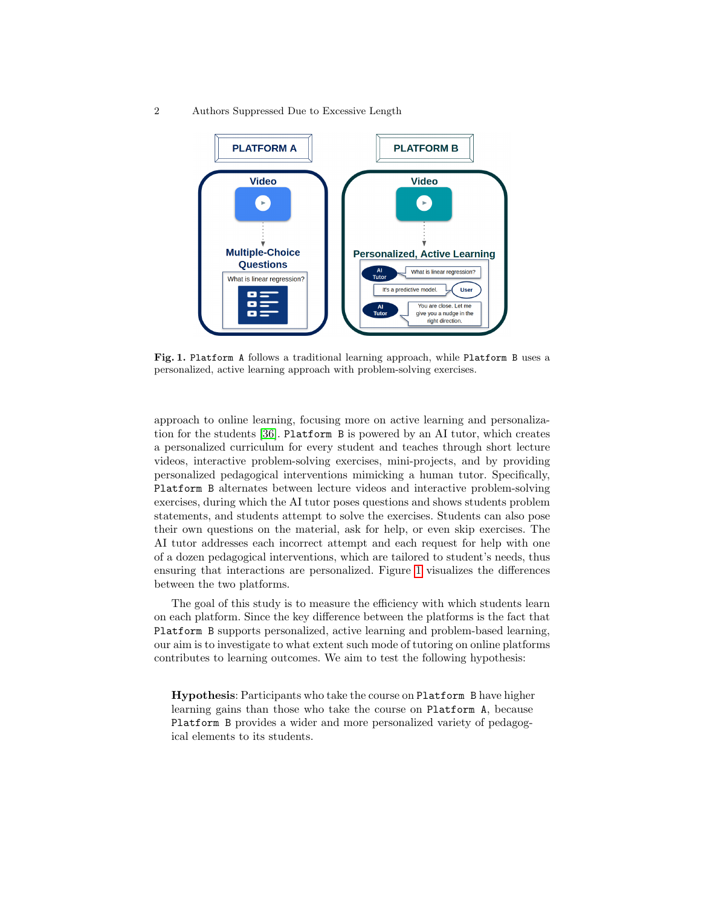

<span id="page-1-0"></span>Fig. 1. Platform A follows a traditional learning approach, while Platform B uses a personalized, active learning approach with problem-solving exercises.

approach to online learning, focusing more on active learning and personalization for the students [\[36\]](#page-12-0). Platform B is powered by an AI tutor, which creates a personalized curriculum for every student and teaches through short lecture videos, interactive problem-solving exercises, mini-projects, and by providing personalized pedagogical interventions mimicking a human tutor. Specifically, Platform B alternates between lecture videos and interactive problem-solving exercises, during which the AI tutor poses questions and shows students problem statements, and students attempt to solve the exercises. Students can also pose their own questions on the material, ask for help, or even skip exercises. The AI tutor addresses each incorrect attempt and each request for help with one of a dozen pedagogical interventions, which are tailored to student's needs, thus ensuring that interactions are personalized. Figure [1](#page-1-0) visualizes the differences between the two platforms.

The goal of this study is to measure the efficiency with which students learn on each platform. Since the key difference between the platforms is the fact that Platform B supports personalized, active learning and problem-based learning, our aim is to investigate to what extent such mode of tutoring on online platforms contributes to learning outcomes. We aim to test the following hypothesis:

Hypothesis: Participants who take the course on Platform B have higher learning gains than those who take the course on Platform A, because Platform B provides a wider and more personalized variety of pedagogical elements to its students.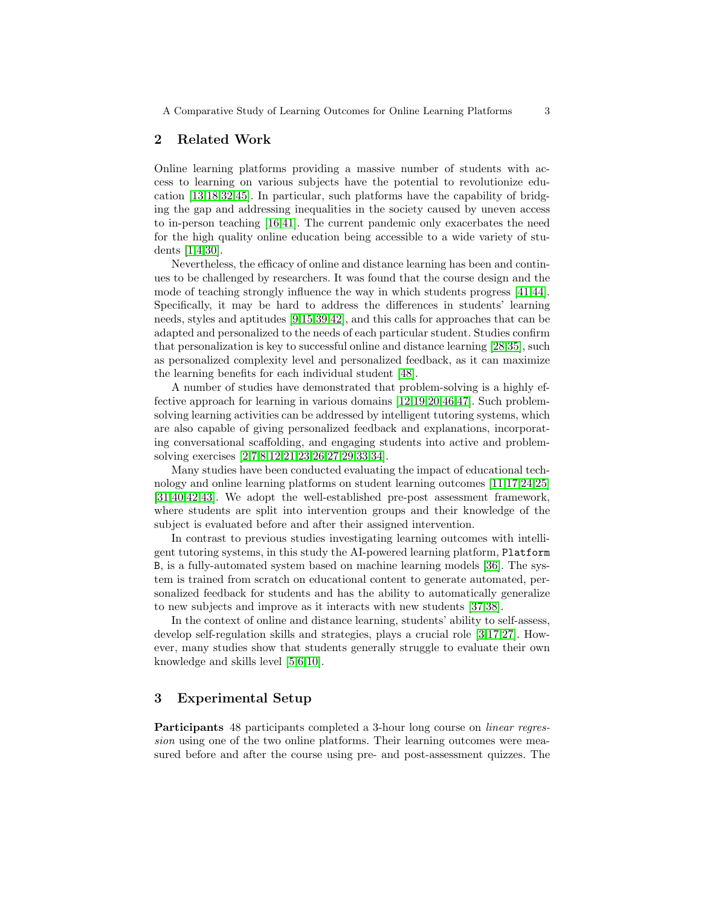## 2 Related Work

Online learning platforms providing a massive number of students with access to learning on various subjects have the potential to revolutionize education [\[13,](#page-11-0)[18,](#page-11-1)[32](#page-12-1)[,45\]](#page-13-0). In particular, such platforms have the capability of bridging the gap and addressing inequalities in the society caused by uneven access to in-person teaching [\[16,](#page-11-2)[41\]](#page-12-2). The current pandemic only exacerbates the need for the high quality online education being accessible to a wide variety of students [\[1,](#page-10-0)[4,](#page-10-1)[30\]](#page-12-3).

Nevertheless, the efficacy of online and distance learning has been and continues to be challenged by researchers. It was found that the course design and the mode of teaching strongly influence the way in which students progress [\[41,](#page-12-2)[44\]](#page-13-1). Specifically, it may be hard to address the differences in students' learning needs, styles and aptitudes [\[9,](#page-11-3)[15,](#page-11-4)[39,](#page-12-4)[42\]](#page-12-5), and this calls for approaches that can be adapted and personalized to the needs of each particular student. Studies confirm that personalization is key to successful online and distance learning [\[28,](#page-12-6)[35\]](#page-12-7), such as personalized complexity level and personalized feedback, as it can maximize the learning benefits for each individual student [\[48\]](#page-13-2).

A number of studies have demonstrated that problem-solving is a highly effective approach for learning in various domains [\[12](#page-11-5)[,19,](#page-11-6)[20,](#page-11-7)[46,](#page-13-3)[47\]](#page-13-4). Such problemsolving learning activities can be addressed by intelligent tutoring systems, which are also capable of giving personalized feedback and explanations, incorporating conversational scaffolding, and engaging students into active and problemsolving exercises [\[2,](#page-10-2)[7,](#page-10-3)[8](#page-10-4)[,12,](#page-11-5)[21,](#page-11-8)[23,](#page-11-9)[26](#page-11-10)[,27,](#page-12-8)[29,](#page-12-9)[33](#page-12-10)[,34\]](#page-12-11).

Many studies have been conducted evaluating the impact of educational technology and online learning platforms on student learning outcomes [\[11,](#page-11-11)[17,](#page-11-12)[24,](#page-11-13)[25\]](#page-11-14) [\[31](#page-12-12)[,40](#page-12-13)[,42,](#page-12-5)[43\]](#page-13-5). We adopt the well-established pre-post assessment framework, where students are split into intervention groups and their knowledge of the subject is evaluated before and after their assigned intervention.

In contrast to previous studies investigating learning outcomes with intelligent tutoring systems, in this study the AI-powered learning platform, Platform B, is a fully-automated system based on machine learning models [\[36\]](#page-12-0). The system is trained from scratch on educational content to generate automated, personalized feedback for students and has the ability to automatically generalize to new subjects and improve as it interacts with new students [\[37,](#page-12-14)[38\]](#page-12-15).

In the context of online and distance learning, students' ability to self-assess, develop self-regulation skills and strategies, plays a crucial role [\[3,](#page-10-5)[17,](#page-11-12)[27\]](#page-12-8). However, many studies show that students generally struggle to evaluate their own knowledge and skills level [\[5](#page-10-6)[,6,](#page-10-7)[10\]](#page-11-15).

# 3 Experimental Setup

Participants 48 participants completed a 3-hour long course on linear regression using one of the two online platforms. Their learning outcomes were measured before and after the course using pre- and post-assessment quizzes. The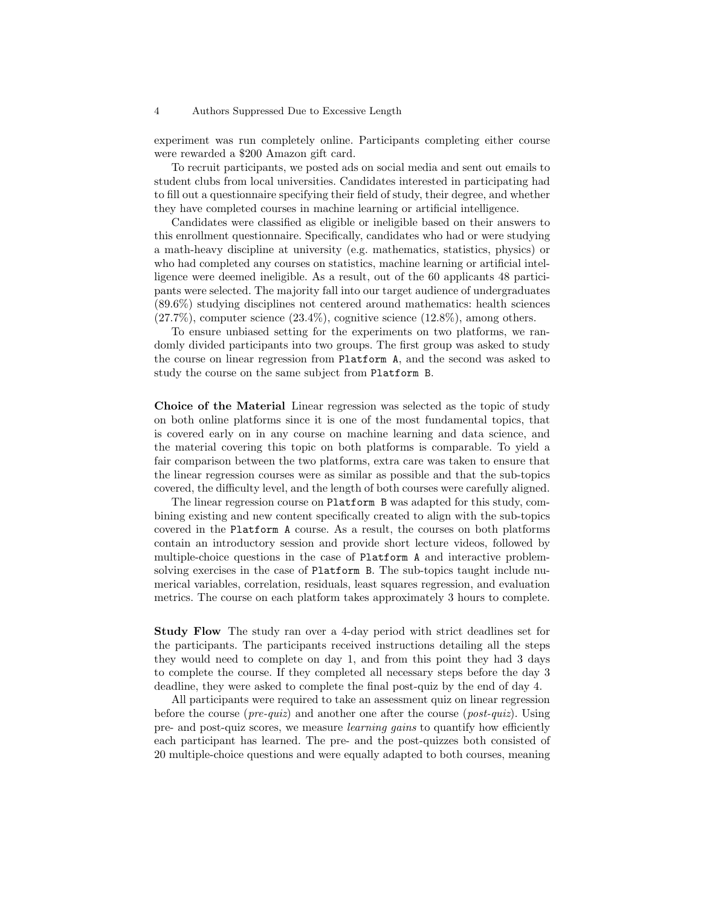experiment was run completely online. Participants completing either course were rewarded a \$200 Amazon gift card.

To recruit participants, we posted ads on social media and sent out emails to student clubs from local universities. Candidates interested in participating had to fill out a questionnaire specifying their field of study, their degree, and whether they have completed courses in machine learning or artificial intelligence.

Candidates were classified as eligible or ineligible based on their answers to this enrollment questionnaire. Specifically, candidates who had or were studying a math-heavy discipline at university (e.g. mathematics, statistics, physics) or who had completed any courses on statistics, machine learning or artificial intelligence were deemed ineligible. As a result, out of the 60 applicants 48 participants were selected. The majority fall into our target audience of undergraduates (89.6%) studying disciplines not centered around mathematics: health sciences  $(27.7\%)$ , computer science  $(23.4\%)$ , cognitive science  $(12.8\%)$ , among others.

To ensure unbiased setting for the experiments on two platforms, we randomly divided participants into two groups. The first group was asked to study the course on linear regression from Platform A, and the second was asked to study the course on the same subject from Platform B.

Choice of the Material Linear regression was selected as the topic of study on both online platforms since it is one of the most fundamental topics, that is covered early on in any course on machine learning and data science, and the material covering this topic on both platforms is comparable. To yield a fair comparison between the two platforms, extra care was taken to ensure that the linear regression courses were as similar as possible and that the sub-topics covered, the difficulty level, and the length of both courses were carefully aligned.

The linear regression course on Platform B was adapted for this study, combining existing and new content specifically created to align with the sub-topics covered in the Platform A course. As a result, the courses on both platforms contain an introductory session and provide short lecture videos, followed by multiple-choice questions in the case of Platform A and interactive problemsolving exercises in the case of Platform B. The sub-topics taught include numerical variables, correlation, residuals, least squares regression, and evaluation metrics. The course on each platform takes approximately 3 hours to complete.

Study Flow The study ran over a 4-day period with strict deadlines set for the participants. The participants received instructions detailing all the steps they would need to complete on day 1, and from this point they had 3 days to complete the course. If they completed all necessary steps before the day 3 deadline, they were asked to complete the final post-quiz by the end of day 4.

All participants were required to take an assessment quiz on linear regression before the course (*pre-quiz*) and another one after the course (*post-quiz*). Using pre- and post-quiz scores, we measure learning gains to quantify how efficiently each participant has learned. The pre- and the post-quizzes both consisted of 20 multiple-choice questions and were equally adapted to both courses, meaning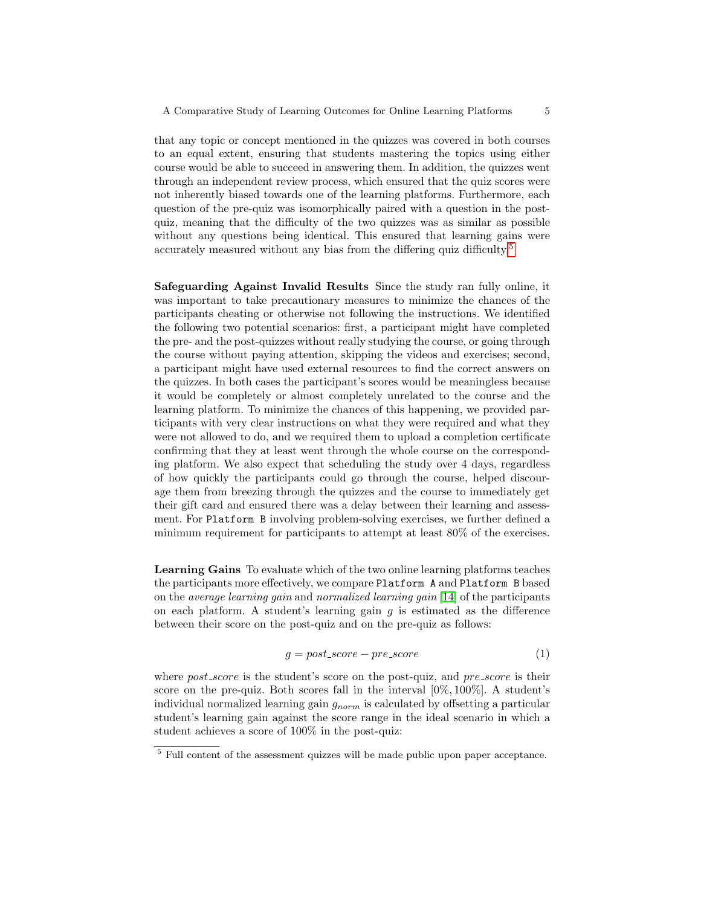that any topic or concept mentioned in the quizzes was covered in both courses to an equal extent, ensuring that students mastering the topics using either course would be able to succeed in answering them. In addition, the quizzes went through an independent review process, which ensured that the quiz scores were not inherently biased towards one of the learning platforms. Furthermore, each question of the pre-quiz was isomorphically paired with a question in the postquiz, meaning that the difficulty of the two quizzes was as similar as possible without any questions being identical. This ensured that learning gains were accurately measured without any bias from the differing quiz difficulty.<sup>[5](#page-4-0)</sup>

Safeguarding Against Invalid Results Since the study ran fully online, it was important to take precautionary measures to minimize the chances of the participants cheating or otherwise not following the instructions. We identified the following two potential scenarios: first, a participant might have completed the pre- and the post-quizzes without really studying the course, or going through the course without paying attention, skipping the videos and exercises; second, a participant might have used external resources to find the correct answers on the quizzes. In both cases the participant's scores would be meaningless because it would be completely or almost completely unrelated to the course and the learning platform. To minimize the chances of this happening, we provided participants with very clear instructions on what they were required and what they were not allowed to do, and we required them to upload a completion certificate confirming that they at least went through the whole course on the corresponding platform. We also expect that scheduling the study over 4 days, regardless of how quickly the participants could go through the course, helped discourage them from breezing through the quizzes and the course to immediately get their gift card and ensured there was a delay between their learning and assessment. For Platform B involving problem-solving exercises, we further defined a minimum requirement for participants to attempt at least 80% of the exercises.

Learning Gains To evaluate which of the two online learning platforms teaches the participants more effectively, we compare Platform A and Platform B based on the average learning gain and normalized learning gain [\[14\]](#page-11-16) of the participants on each platform. A student's learning gain  $g$  is estimated as the difference between their score on the post-quiz and on the pre-quiz as follows:

$$
g = post_score - pre_score \tag{1}
$$

where  $post\_score$  is the student's score on the post-quiz, and  $pre\_score$  is their score on the pre-quiz. Both scores fall in the interval  $[0\%, 100\%]$ . A student's individual normalized learning gain  $g_{norm}$  is calculated by offsetting a particular student's learning gain against the score range in the ideal scenario in which a student achieves a score of 100% in the post-quiz:

<span id="page-4-0"></span><sup>&</sup>lt;sup>5</sup> Full content of the assessment quizzes will be made public upon paper acceptance.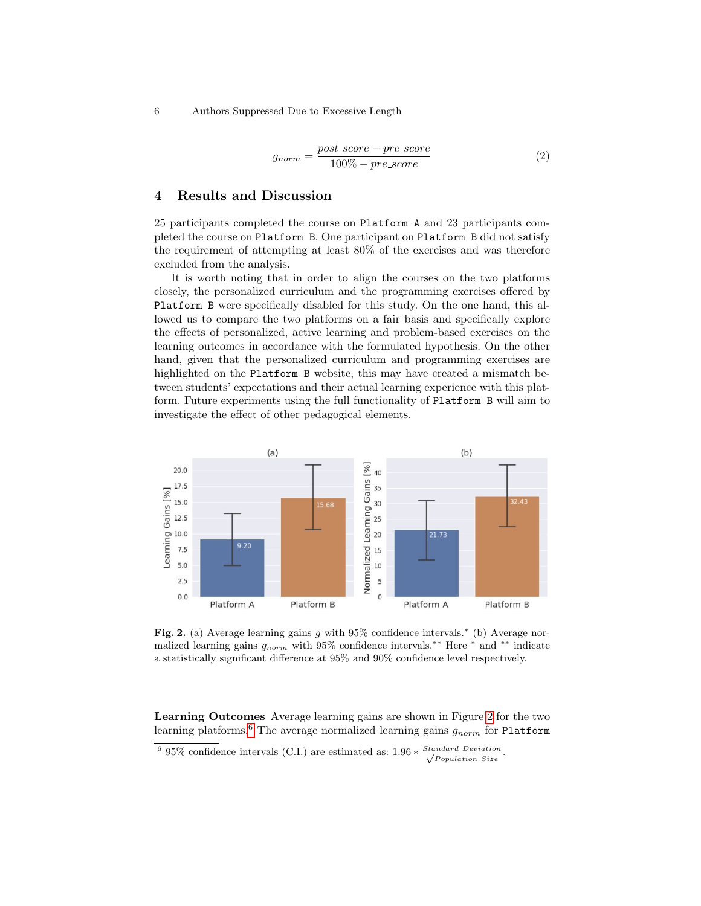$$
g_{norm} = \frac{post\_score - pre\_score}{100\% - pre\_score}
$$
 (2)

# 4 Results and Discussion

25 participants completed the course on Platform A and 23 participants completed the course on Platform B. One participant on Platform B did not satisfy the requirement of attempting at least 80% of the exercises and was therefore excluded from the analysis.

It is worth noting that in order to align the courses on the two platforms closely, the personalized curriculum and the programming exercises offered by Platform B were specifically disabled for this study. On the one hand, this allowed us to compare the two platforms on a fair basis and specifically explore the effects of personalized, active learning and problem-based exercises on the learning outcomes in accordance with the formulated hypothesis. On the other hand, given that the personalized curriculum and programming exercises are highlighted on the Platform B website, this may have created a mismatch between students' expectations and their actual learning experience with this platform. Future experiments using the full functionality of Platform B will aim to investigate the effect of other pedagogical elements.



<span id="page-5-0"></span>Fig. 2. (a) Average learning gains g with  $95\%$  confidence intervals.<sup>\*</sup> (b) Average normalized learning gains  $g_{norm}$  with 95% confidence intervals.<sup>\*\*</sup> Here  $*$  and  $**$  indicate a statistically significant difference at 95% and 90% confidence level respectively.

Learning Outcomes Average learning gains are shown in Figure [2](#page-5-0) for the two learning platforms.<sup>[6](#page-5-1)</sup> The average normalized learning gains  $g_{norm}$  for Platform

<span id="page-5-1"></span><sup>&</sup>lt;sup>6</sup> 95% confidence intervals (C.I.) are estimated as:  $1.96 * \frac{Standard Deviation}{\sqrt{D}}$ .  $\sqrt{Population Size}$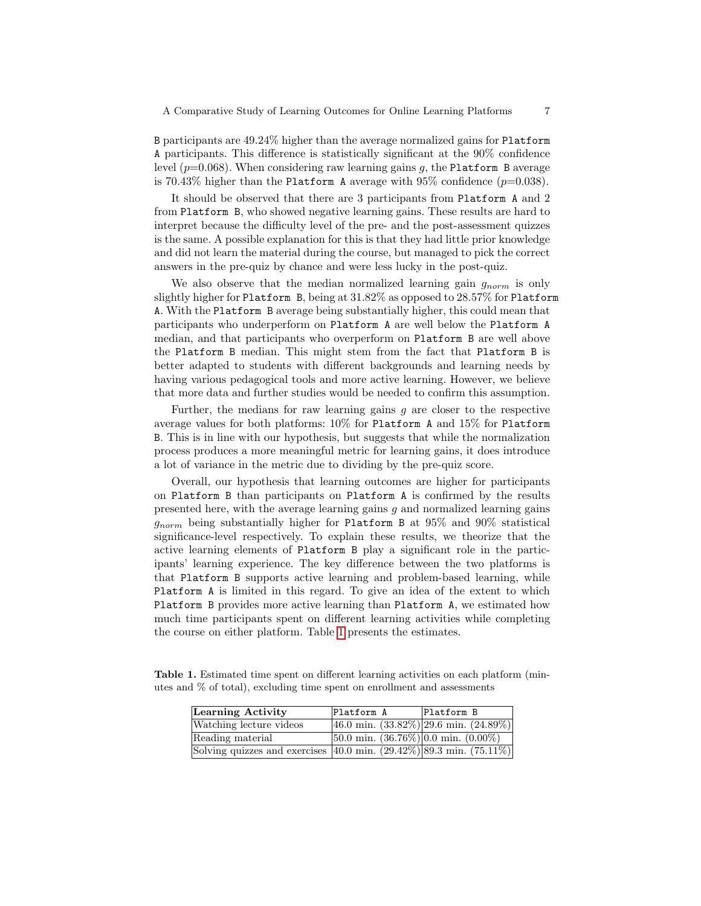B participants are 49.24% higher than the average normalized gains for Platform A participants. This difference is statistically significant at the 90% confidence level  $(p=0.068)$ . When considering raw learning gains g, the Platform B average is 70.43% higher than the Platform A average with 95% confidence  $(p=0.038)$ .

It should be observed that there are 3 participants from Platform A and 2 from Platform B, who showed negative learning gains. These results are hard to interpret because the difficulty level of the pre- and the post-assessment quizzes is the same. A possible explanation for this is that they had little prior knowledge and did not learn the material during the course, but managed to pick the correct answers in the pre-quiz by chance and were less lucky in the post-quiz.

We also observe that the median normalized learning gain  $g_{norm}$  is only slightly higher for Platform B, being at 31.82% as opposed to 28.57% for Platform A. With the Platform B average being substantially higher, this could mean that participants who underperform on Platform A are well below the Platform A median, and that participants who overperform on Platform B are well above the Platform B median. This might stem from the fact that Platform B is better adapted to students with different backgrounds and learning needs by having various pedagogical tools and more active learning. However, we believe that more data and further studies would be needed to confirm this assumption.

Further, the medians for raw learning gains  $g$  are closer to the respective average values for both platforms: 10% for Platform A and 15% for Platform B. This is in line with our hypothesis, but suggests that while the normalization process produces a more meaningful metric for learning gains, it does introduce a lot of variance in the metric due to dividing by the pre-quiz score.

Overall, our hypothesis that learning outcomes are higher for participants on Platform B than participants on Platform A is confirmed by the results presented here, with the average learning gains  $g$  and normalized learning gains  $g_{norm}$  being substantially higher for Platform B at  $95\%$  and  $90\%$  statistical significance-level respectively. To explain these results, we theorize that the active learning elements of Platform B play a significant role in the participants' learning experience. The key difference between the two platforms is that Platform B supports active learning and problem-based learning, while Platform A is limited in this regard. To give an idea of the extent to which Platform B provides more active learning than Platform A, we estimated how much time participants spent on different learning activities while completing the course on either platform. Table [1](#page-6-0) presents the estimates.

Table 1. Estimated time spent on different learning activities on each platform (minutes and % of total), excluding time spent on enrollment and assessments

<span id="page-6-0"></span>

| Learning Activity                                                                         | Platform A                                                 | Platform B                                               |
|-------------------------------------------------------------------------------------------|------------------------------------------------------------|----------------------------------------------------------|
| Watching lecture videos                                                                   |                                                            | $(46.0 \text{ min. } (33.82\%)$ (29.6 min. $(24.89\%)$ ) |
| Reading material                                                                          | $[50.0 \text{ min. } (36.76\%)]0.0 \text{ min. } (0.00\%)$ |                                                          |
| Solving quizzes and exercises $ 40.0 \text{ min.} (29.42\%) 89.3 \text{ min.} (75.11\%) $ |                                                            |                                                          |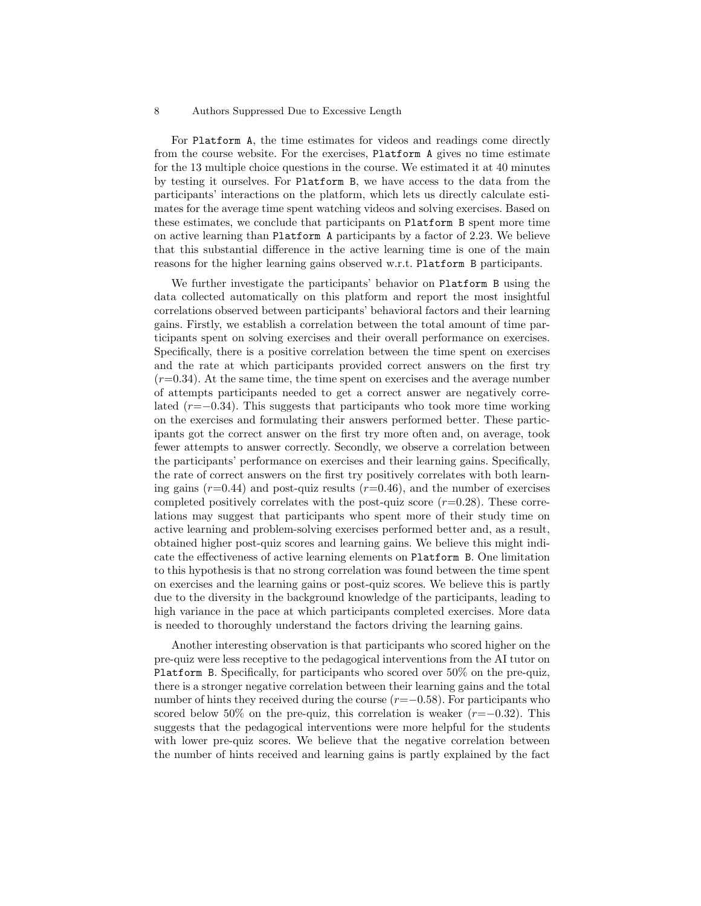For Platform A, the time estimates for videos and readings come directly from the course website. For the exercises, Platform A gives no time estimate for the 13 multiple choice questions in the course. We estimated it at 40 minutes by testing it ourselves. For Platform B, we have access to the data from the participants' interactions on the platform, which lets us directly calculate estimates for the average time spent watching videos and solving exercises. Based on these estimates, we conclude that participants on Platform B spent more time on active learning than Platform A participants by a factor of 2.23. We believe that this substantial difference in the active learning time is one of the main reasons for the higher learning gains observed w.r.t. Platform B participants.

We further investigate the participants' behavior on Platform B using the data collected automatically on this platform and report the most insightful correlations observed between participants' behavioral factors and their learning gains. Firstly, we establish a correlation between the total amount of time participants spent on solving exercises and their overall performance on exercises. Specifically, there is a positive correlation between the time spent on exercises and the rate at which participants provided correct answers on the first try  $(r=0.34)$ . At the same time, the time spent on exercises and the average number of attempts participants needed to get a correct answer are negatively correlated  $(r=-0.34)$ . This suggests that participants who took more time working on the exercises and formulating their answers performed better. These participants got the correct answer on the first try more often and, on average, took fewer attempts to answer correctly. Secondly, we observe a correlation between the participants' performance on exercises and their learning gains. Specifically, the rate of correct answers on the first try positively correlates with both learning gains  $(r=0.44)$  and post-quiz results  $(r=0.46)$ , and the number of exercises completed positively correlates with the post-quiz score  $(r=0.28)$ . These correlations may suggest that participants who spent more of their study time on active learning and problem-solving exercises performed better and, as a result, obtained higher post-quiz scores and learning gains. We believe this might indicate the effectiveness of active learning elements on Platform B. One limitation to this hypothesis is that no strong correlation was found between the time spent on exercises and the learning gains or post-quiz scores. We believe this is partly due to the diversity in the background knowledge of the participants, leading to high variance in the pace at which participants completed exercises. More data is needed to thoroughly understand the factors driving the learning gains.

Another interesting observation is that participants who scored higher on the pre-quiz were less receptive to the pedagogical interventions from the AI tutor on Platform B. Specifically, for participants who scored over 50% on the pre-quiz, there is a stronger negative correlation between their learning gains and the total number of hints they received during the course  $(r=-0.58)$ . For participants who scored below 50% on the pre-quiz, this correlation is weaker  $(r=-0.32)$ . This suggests that the pedagogical interventions were more helpful for the students with lower pre-quiz scores. We believe that the negative correlation between the number of hints received and learning gains is partly explained by the fact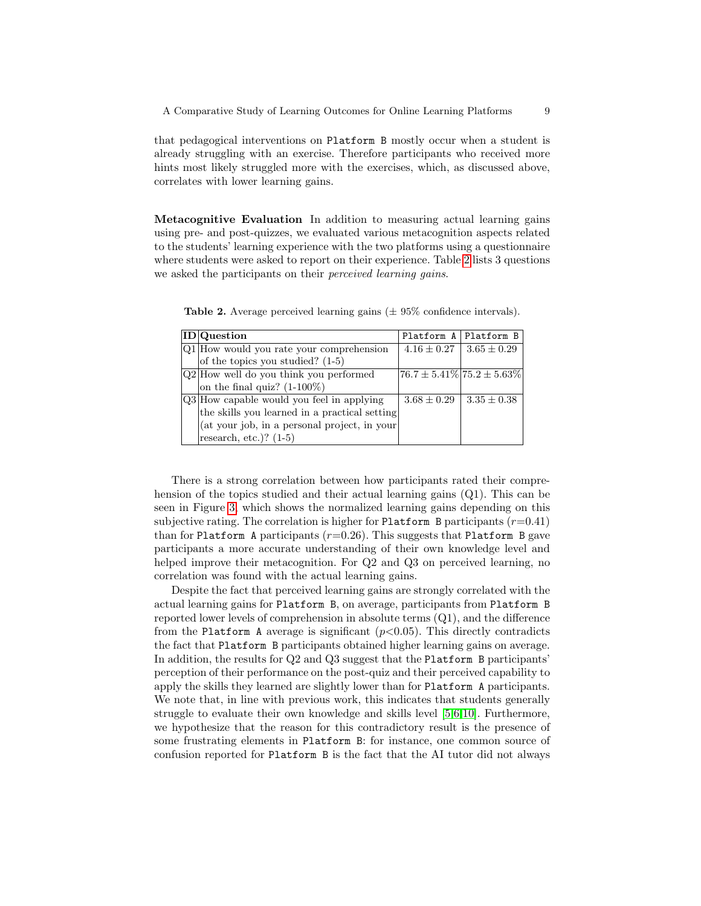that pedagogical interventions on Platform B mostly occur when a student is already struggling with an exercise. Therefore participants who received more hints most likely struggled more with the exercises, which, as discussed above, correlates with lower learning gains.

Metacognitive Evaluation In addition to measuring actual learning gains using pre- and post-quizzes, we evaluated various metacognition aspects related to the students' learning experience with the two platforms using a questionnaire where students were asked to report on their experience. Table [2](#page-8-0) lists 3 questions we asked the participants on their *perceived learning gains*.

| <b>ID</b>  Question                           | Platform A   Platform B                 |                                   |
|-----------------------------------------------|-----------------------------------------|-----------------------------------|
| Q1 How would you rate your comprehension      |                                         | $4.16 \pm 0.27$   $3.65 \pm 0.29$ |
| of the topics you studied? $(1-5)$            |                                         |                                   |
| $Q2$ How well do you think you performed      | $[76.7 \pm 5.41\%]$ $[75.2 \pm 5.63\%]$ |                                   |
| on the final quiz? $(1-100\%)$                |                                         |                                   |
| Q3 How capable would you feel in applying     | $3.68 \pm 0.29$                         | $3.35 \pm 0.38$                   |
| the skills you learned in a practical setting |                                         |                                   |
| (at your job, in a personal project, in your) |                                         |                                   |
| research, etc.)? $(1-5)$                      |                                         |                                   |

<span id="page-8-0"></span>**Table 2.** Average perceived learning gains  $(\pm 95\%$  confidence intervals).

There is a strong correlation between how participants rated their comprehension of the topics studied and their actual learning gains  $(Q1)$ . This can be seen in Figure [3,](#page-9-0) which shows the normalized learning gains depending on this subjective rating. The correlation is higher for Platform B participants  $(r=0.41)$ than for Platform A participants  $(r=0.26)$ . This suggests that Platform B gave participants a more accurate understanding of their own knowledge level and helped improve their metacognition. For Q2 and Q3 on perceived learning, no correlation was found with the actual learning gains.

Despite the fact that perceived learning gains are strongly correlated with the actual learning gains for Platform B, on average, participants from Platform B reported lower levels of comprehension in absolute terms (Q1), and the difference from the Platform A average is significant  $(p<0.05)$ . This directly contradicts the fact that Platform B participants obtained higher learning gains on average. In addition, the results for Q2 and Q3 suggest that the Platform B participants' perception of their performance on the post-quiz and their perceived capability to apply the skills they learned are slightly lower than for Platform A participants. We note that, in line with previous work, this indicates that students generally struggle to evaluate their own knowledge and skills level [\[5,](#page-10-6)[6](#page-10-7)[,10\]](#page-11-15). Furthermore, we hypothesize that the reason for this contradictory result is the presence of some frustrating elements in Platform B: for instance, one common source of confusion reported for Platform B is the fact that the AI tutor did not always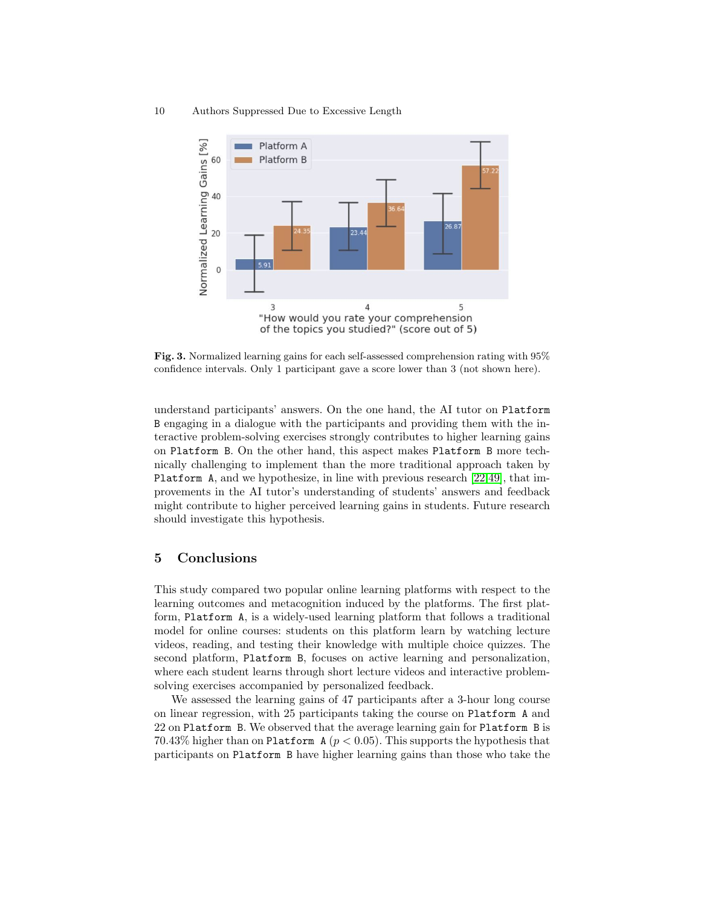10 Authors Suppressed Due to Excessive Length



<span id="page-9-0"></span>Fig. 3. Normalized learning gains for each self-assessed comprehension rating with 95% confidence intervals. Only 1 participant gave a score lower than 3 (not shown here).

understand participants' answers. On the one hand, the AI tutor on Platform B engaging in a dialogue with the participants and providing them with the interactive problem-solving exercises strongly contributes to higher learning gains on Platform B. On the other hand, this aspect makes Platform B more technically challenging to implement than the more traditional approach taken by Platform A, and we hypothesize, in line with previous research [\[22,](#page-11-17)[49\]](#page-13-6), that improvements in the AI tutor's understanding of students' answers and feedback might contribute to higher perceived learning gains in students. Future research should investigate this hypothesis.

# 5 Conclusions

This study compared two popular online learning platforms with respect to the learning outcomes and metacognition induced by the platforms. The first platform, Platform A, is a widely-used learning platform that follows a traditional model for online courses: students on this platform learn by watching lecture videos, reading, and testing their knowledge with multiple choice quizzes. The second platform, Platform B, focuses on active learning and personalization, where each student learns through short lecture videos and interactive problemsolving exercises accompanied by personalized feedback.

We assessed the learning gains of 47 participants after a 3-hour long course on linear regression, with 25 participants taking the course on Platform A and 22 on Platform B. We observed that the average learning gain for Platform B is 70.43% higher than on Platform A ( $p < 0.05$ ). This supports the hypothesis that participants on Platform B have higher learning gains than those who take the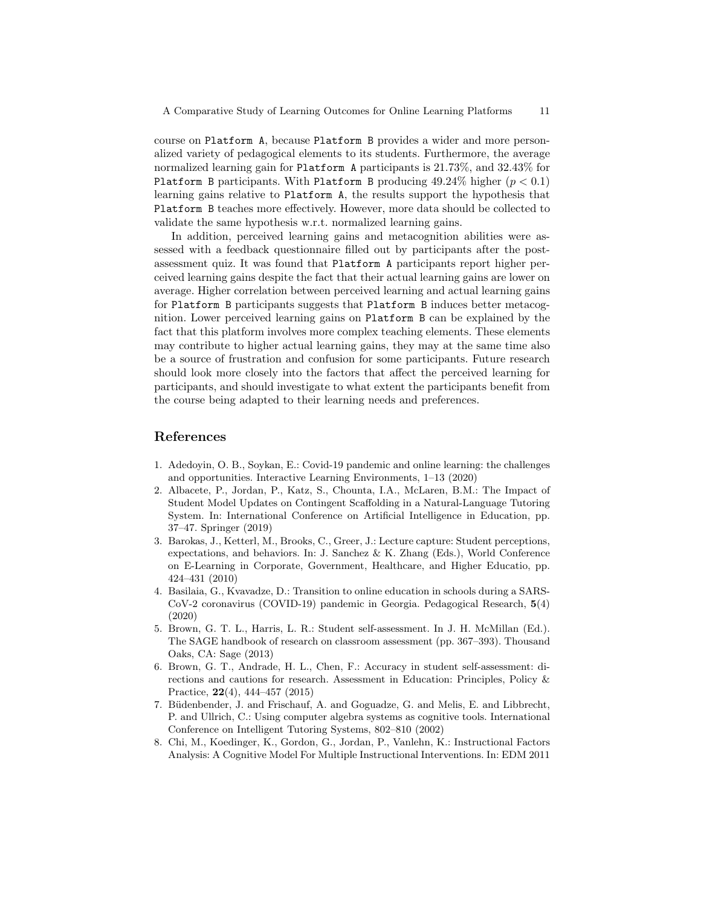course on Platform A, because Platform B provides a wider and more personalized variety of pedagogical elements to its students. Furthermore, the average normalized learning gain for Platform A participants is 21.73%, and 32.43% for Platform B participants. With Platform B producing  $49.24\%$  higher  $(p < 0.1)$ learning gains relative to Platform A, the results support the hypothesis that Platform B teaches more effectively. However, more data should be collected to validate the same hypothesis w.r.t. normalized learning gains.

In addition, perceived learning gains and metacognition abilities were assessed with a feedback questionnaire filled out by participants after the postassessment quiz. It was found that Platform A participants report higher perceived learning gains despite the fact that their actual learning gains are lower on average. Higher correlation between perceived learning and actual learning gains for Platform B participants suggests that Platform B induces better metacognition. Lower perceived learning gains on Platform B can be explained by the fact that this platform involves more complex teaching elements. These elements may contribute to higher actual learning gains, they may at the same time also be a source of frustration and confusion for some participants. Future research should look more closely into the factors that affect the perceived learning for participants, and should investigate to what extent the participants benefit from the course being adapted to their learning needs and preferences.

# References

- <span id="page-10-0"></span>1. Adedoyin, O. B., Soykan, E.: Covid-19 pandemic and online learning: the challenges and opportunities. Interactive Learning Environments, 1–13 (2020)
- <span id="page-10-2"></span>2. Albacete, P., Jordan, P., Katz, S., Chounta, I.A., McLaren, B.M.: The Impact of Student Model Updates on Contingent Scaffolding in a Natural-Language Tutoring System. In: International Conference on Artificial Intelligence in Education, pp. 37–47. Springer (2019)
- <span id="page-10-5"></span>3. Barokas, J., Ketterl, M., Brooks, C., Greer, J.: Lecture capture: Student perceptions, expectations, and behaviors. In: J. Sanchez & K. Zhang (Eds.), World Conference on E-Learning in Corporate, Government, Healthcare, and Higher Educatio, pp. 424–431 (2010)
- <span id="page-10-1"></span>4. Basilaia, G., Kvavadze, D.: Transition to online education in schools during a SARS-CoV-2 coronavirus (COVID-19) pandemic in Georgia. Pedagogical Research, 5(4) (2020)
- <span id="page-10-6"></span>5. Brown, G. T. L., Harris, L. R.: Student self-assessment. In J. H. McMillan (Ed.). The SAGE handbook of research on classroom assessment (pp. 367–393). Thousand Oaks, CA: Sage (2013)
- <span id="page-10-7"></span>6. Brown, G. T., Andrade, H. L., Chen, F.: Accuracy in student self-assessment: directions and cautions for research. Assessment in Education: Principles, Policy & Practice, 22(4), 444–457 (2015)
- <span id="page-10-3"></span>7. Büdenbender, J. and Frischauf, A. and Goguadze, G. and Melis, E. and Libbrecht, P. and Ullrich, C.: Using computer algebra systems as cognitive tools. International Conference on Intelligent Tutoring Systems, 802–810 (2002)
- <span id="page-10-4"></span>8. Chi, M., Koedinger, K., Gordon, G., Jordan, P., Vanlehn, K.: Instructional Factors Analysis: A Cognitive Model For Multiple Instructional Interventions. In: EDM 2011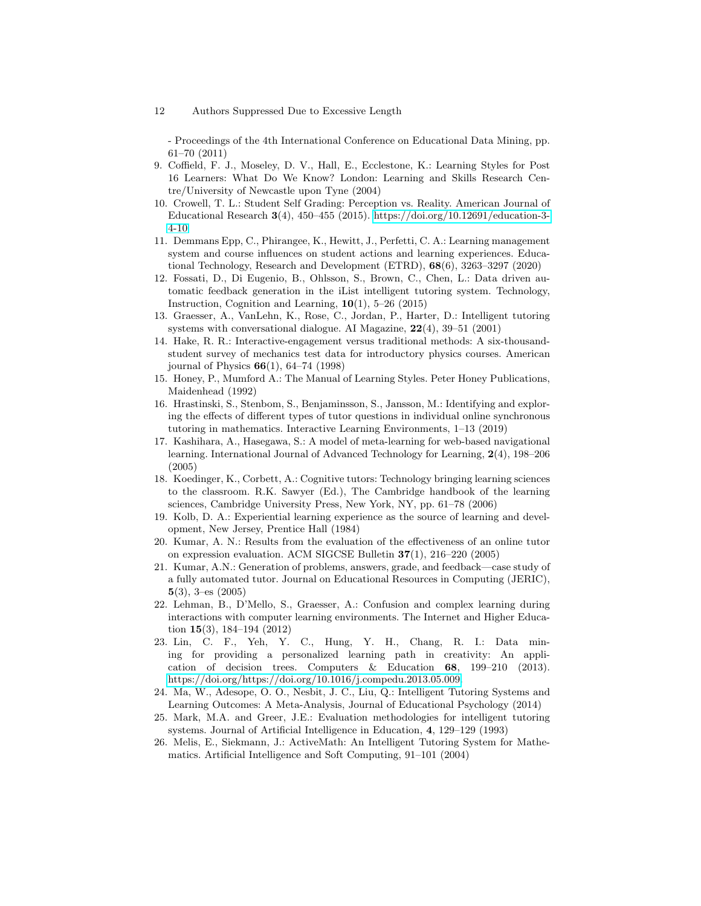- Proceedings of the 4th International Conference on Educational Data Mining, pp. 61–70 (2011)

- <span id="page-11-3"></span>9. Coffield, F. J., Moseley, D. V., Hall, E., Ecclestone, K.: Learning Styles for Post 16 Learners: What Do We Know? London: Learning and Skills Research Centre/University of Newcastle upon Tyne (2004)
- <span id="page-11-15"></span>10. Crowell, T. L.: Student Self Grading: Perception vs. Reality. American Journal of Educational Research  $3(4)$ , 450–455 (2015). [https://doi.org/10.12691/education-3-](https://doi.org/10.12691/education-3-4-10) [4-10](https://doi.org/10.12691/education-3-4-10)
- <span id="page-11-11"></span>11. Demmans Epp, C., Phirangee, K., Hewitt, J., Perfetti, C. A.: Learning management system and course influences on student actions and learning experiences. Educational Technology, Research and Development (ETRD), 68(6), 3263–3297 (2020)
- <span id="page-11-5"></span>12. Fossati, D., Di Eugenio, B., Ohlsson, S., Brown, C., Chen, L.: Data driven automatic feedback generation in the iList intelligent tutoring system. Technology, Instruction, Cognition and Learning,  $10(1)$ , 5–26 (2015)
- <span id="page-11-0"></span>13. Graesser, A., VanLehn, K., Rose, C., Jordan, P., Harter, D.: Intelligent tutoring systems with conversational dialogue. AI Magazine,  $22(4)$ ,  $39-51$  (2001)
- <span id="page-11-16"></span>14. Hake, R. R.: Interactive-engagement versus traditional methods: A six-thousandstudent survey of mechanics test data for introductory physics courses. American journal of Physics  $66(1)$ , 64–74 (1998)
- <span id="page-11-4"></span>15. Honey, P., Mumford A.: The Manual of Learning Styles. Peter Honey Publications, Maidenhead (1992)
- <span id="page-11-2"></span>16. Hrastinski, S., Stenbom, S., Benjaminsson, S., Jansson, M.: Identifying and exploring the effects of different types of tutor questions in individual online synchronous tutoring in mathematics. Interactive Learning Environments, 1–13 (2019)
- <span id="page-11-12"></span>17. Kashihara, A., Hasegawa, S.: A model of meta-learning for web-based navigational learning. International Journal of Advanced Technology for Learning, 2(4), 198–206 (2005)
- <span id="page-11-1"></span>18. Koedinger, K., Corbett, A.: Cognitive tutors: Technology bringing learning sciences to the classroom. R.K. Sawyer (Ed.), The Cambridge handbook of the learning sciences, Cambridge University Press, New York, NY, pp. 61–78 (2006)
- <span id="page-11-6"></span>19. Kolb, D. A.: Experiential learning experience as the source of learning and development, New Jersey, Prentice Hall (1984)
- <span id="page-11-7"></span>20. Kumar, A. N.: Results from the evaluation of the effectiveness of an online tutor on expression evaluation. ACM SIGCSE Bulletin 37(1), 216–220 (2005)
- <span id="page-11-8"></span>21. Kumar, A.N.: Generation of problems, answers, grade, and feedback—case study of a fully automated tutor. Journal on Educational Resources in Computing (JERIC), 5(3), 3–es (2005)
- <span id="page-11-17"></span>22. Lehman, B., D'Mello, S., Graesser, A.: Confusion and complex learning during interactions with computer learning environments. The Internet and Higher Education 15(3), 184–194 (2012)
- <span id="page-11-9"></span>23. Lin, C. F., Yeh, Y. C., Hung, Y. H., Chang, R. I.: Data mining for providing a personalized learning path in creativity: An application of decision trees. Computers & Education 68, 199–210 (2013). [https://doi.org/https://doi.org/10.1016/j.compedu.2013.05.009.](https://doi.org/https://doi.org/10.1016/j.compedu.2013.05.009)
- <span id="page-11-13"></span>24. Ma, W., Adesope, O. O., Nesbit, J. C., Liu, Q.: Intelligent Tutoring Systems and Learning Outcomes: A Meta-Analysis, Journal of Educational Psychology (2014)
- <span id="page-11-14"></span>25. Mark, M.A. and Greer, J.E.: Evaluation methodologies for intelligent tutoring systems. Journal of Artificial Intelligence in Education, 4, 129–129 (1993)
- <span id="page-11-10"></span>26. Melis, E., Siekmann, J.: ActiveMath: An Intelligent Tutoring System for Mathematics. Artificial Intelligence and Soft Computing, 91–101 (2004)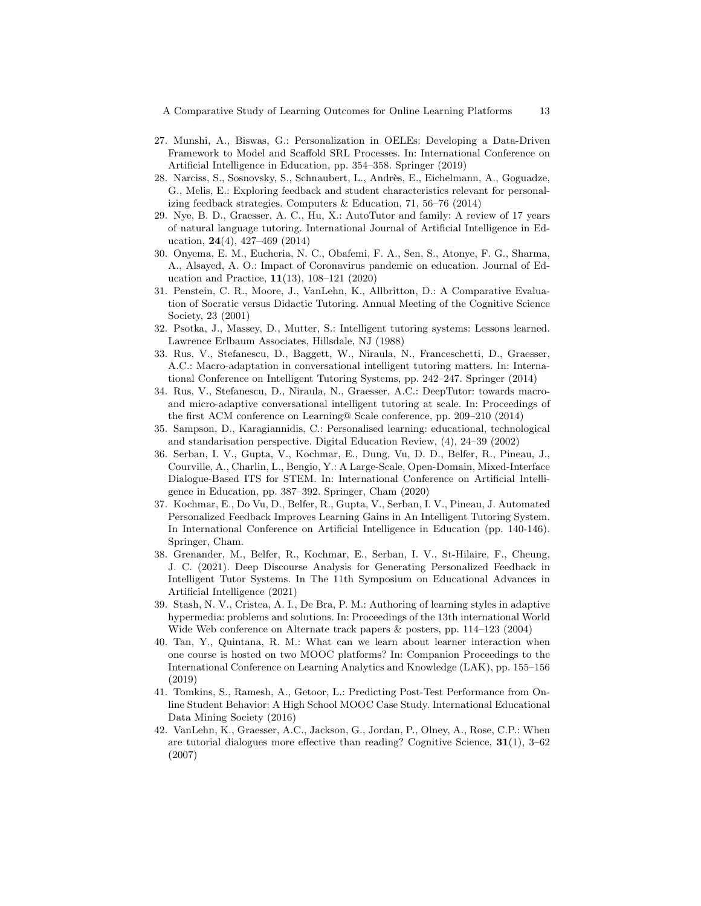- <span id="page-12-8"></span>27. Munshi, A., Biswas, G.: Personalization in OELEs: Developing a Data-Driven Framework to Model and Scaffold SRL Processes. In: International Conference on Artificial Intelligence in Education, pp. 354–358. Springer (2019)
- <span id="page-12-6"></span>28. Narciss, S., Sosnovsky, S., Schnaubert, L., Andr`es, E., Eichelmann, A., Goguadze, G., Melis, E.: Exploring feedback and student characteristics relevant for personalizing feedback strategies. Computers & Education, 71, 56–76 (2014)
- <span id="page-12-9"></span>29. Nye, B. D., Graesser, A. C., Hu, X.: AutoTutor and family: A review of 17 years of natural language tutoring. International Journal of Artificial Intelligence in Education, 24(4), 427–469 (2014)
- <span id="page-12-3"></span>30. Onyema, E. M., Eucheria, N. C., Obafemi, F. A., Sen, S., Atonye, F. G., Sharma, A., Alsayed, A. O.: Impact of Coronavirus pandemic on education. Journal of Education and Practice, 11(13), 108–121 (2020)
- <span id="page-12-12"></span>31. Penstein, C. R., Moore, J., VanLehn, K., Allbritton, D.: A Comparative Evaluation of Socratic versus Didactic Tutoring. Annual Meeting of the Cognitive Science Society, 23 (2001)
- <span id="page-12-1"></span>32. Psotka, J., Massey, D., Mutter, S.: Intelligent tutoring systems: Lessons learned. Lawrence Erlbaum Associates, Hillsdale, NJ (1988)
- <span id="page-12-10"></span>33. Rus, V., Stefanescu, D., Baggett, W., Niraula, N., Franceschetti, D., Graesser, A.C.: Macro-adaptation in conversational intelligent tutoring matters. In: International Conference on Intelligent Tutoring Systems, pp. 242–247. Springer (2014)
- <span id="page-12-11"></span>34. Rus, V., Stefanescu, D., Niraula, N., Graesser, A.C.: DeepTutor: towards macroand micro-adaptive conversational intelligent tutoring at scale. In: Proceedings of the first ACM conference on Learning@ Scale conference, pp. 209–210 (2014)
- <span id="page-12-7"></span>35. Sampson, D., Karagiannidis, C.: Personalised learning: educational, technological and standarisation perspective. Digital Education Review, (4), 24–39 (2002)
- <span id="page-12-0"></span>36. Serban, I. V., Gupta, V., Kochmar, E., Dung, Vu, D. D., Belfer, R., Pineau, J., Courville, A., Charlin, L., Bengio, Y.: A Large-Scale, Open-Domain, Mixed-Interface Dialogue-Based ITS for STEM. In: International Conference on Artificial Intelligence in Education, pp. 387–392. Springer, Cham (2020)
- <span id="page-12-14"></span>37. Kochmar, E., Do Vu, D., Belfer, R., Gupta, V., Serban, I. V., Pineau, J. Automated Personalized Feedback Improves Learning Gains in An Intelligent Tutoring System. In International Conference on Artificial Intelligence in Education (pp. 140-146). Springer, Cham.
- <span id="page-12-15"></span>38. Grenander, M., Belfer, R., Kochmar, E., Serban, I. V., St-Hilaire, F., Cheung, J. C. (2021). Deep Discourse Analysis for Generating Personalized Feedback in Intelligent Tutor Systems. In The 11th Symposium on Educational Advances in Artificial Intelligence (2021)
- <span id="page-12-4"></span>39. Stash, N. V., Cristea, A. I., De Bra, P. M.: Authoring of learning styles in adaptive hypermedia: problems and solutions. In: Proceedings of the 13th international World Wide Web conference on Alternate track papers & posters, pp. 114–123 (2004)
- <span id="page-12-13"></span>40. Tan, Y., Quintana, R. M.: What can we learn about learner interaction when one course is hosted on two MOOC platforms? In: Companion Proceedings to the International Conference on Learning Analytics and Knowledge (LAK), pp. 155–156 (2019)
- <span id="page-12-2"></span>41. Tomkins, S., Ramesh, A., Getoor, L.: Predicting Post-Test Performance from Online Student Behavior: A High School MOOC Case Study. International Educational Data Mining Society (2016)
- <span id="page-12-5"></span>42. VanLehn, K., Graesser, A.C., Jackson, G., Jordan, P., Olney, A., Rose, C.P.: When are tutorial dialogues more effective than reading? Cognitive Science,  $31(1)$ ,  $3-62$ (2007)